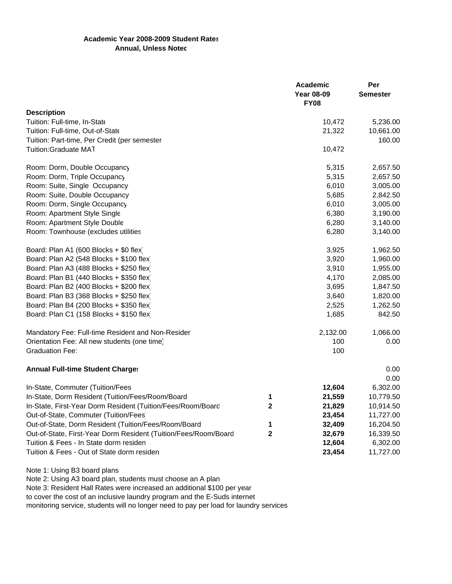## **Academic Year 2008-2009 Student Rates Annual, Unless Notec**

|                                                                 |                   | Academic        | Per       |
|-----------------------------------------------------------------|-------------------|-----------------|-----------|
|                                                                 | <b>Year 08-09</b> | <b>Semester</b> |           |
|                                                                 |                   | <b>FY08</b>     |           |
| <b>Description</b>                                              |                   |                 |           |
| Tuition: Full-time, In-State                                    |                   | 10,472          | 5,236.00  |
| Tuition: Full-time, Out-of-State                                |                   | 21,322          | 10,661.00 |
| Tuition: Part-time, Per Credit (per semester                    |                   |                 | 160.00    |
| <b>Tuition:Graduate MAT</b>                                     |                   | 10,472          |           |
| Room: Dorm, Double Occupancy                                    |                   | 5,315           | 2,657.50  |
| Room: Dorm, Triple Occupancy                                    |                   | 5,315           | 2,657.50  |
| Room: Suite, Single Occupancy                                   |                   | 6,010           | 3,005.00  |
| Room: Suite, Double Occupancy                                   |                   | 5,685           | 2,842.50  |
| Room: Dorm, Single Occupancy                                    |                   | 6,010           | 3,005.00  |
| Room: Apartment Style Single                                    |                   | 6,380           | 3,190.00  |
| Room: Apartment Style Double                                    |                   | 6,280           | 3,140.00  |
| Room: Townhouse (excludes utilities                             |                   | 6,280           | 3,140.00  |
| Board: Plan A1 (600 Blocks + \$0 flex)                          |                   | 3,925           | 1,962.50  |
| Board: Plan A2 (548 Blocks + \$100 flex)                        |                   | 3,920           | 1,960.00  |
| Board: Plan A3 (488 Blocks + \$250 flex)                        |                   | 3,910           | 1,955.00  |
| Board: Plan B1 (440 Blocks + \$350 flex)                        |                   | 4,170           | 2,085.00  |
| Board: Plan B2 (400 Blocks + \$200 flex)                        |                   | 3,695           | 1,847.50  |
| Board: Plan B3 (368 Blocks + \$250 flex)                        |                   | 3,640           | 1,820.00  |
| Board: Plan B4 (200 Blocks + \$350 flex)                        |                   | 2,525           | 1,262.50  |
| Board: Plan C1 (158 Blocks + \$150 flex)                        |                   | 1,685           | 842.50    |
| Mandatory Fee: Full-time Resident and Non-Resider               |                   | 2,132.00        | 1,066.00  |
| Orientation Fee: All new students (one time)                    |                   | 100             | 0.00      |
| <b>Graduation Fee:</b>                                          |                   | 100             |           |
| <b>Annual Full-time Student Charges</b>                         |                   |                 | 0.00      |
|                                                                 |                   |                 | 0.00      |
| In-State, Commuter (Tuition/Fees                                |                   | 12,604          | 6,302.00  |
| In-State, Dorm Resident (Tuition/Fees/Room/Board                | 1                 | 21,559          | 10,779.50 |
| In-State, First-Year Dorm Resident (Tuition/Fees/Room/Board     | $\mathbf 2$       | 21,829          | 10,914.50 |
| Out-of-State, Commuter (Tuition/Fees)                           |                   | 23,454          | 11,727.00 |
| Out-of-State, Dorm Resident (Tuition/Fees/Room/Board            | 1                 | 32,409          | 16,204.50 |
| Out-of-State, First-Year Dorm Resident (Tuition/Fees/Room/Board | $\mathbf{2}$      | 32,679          | 16,339.50 |
| Tuition & Fees - In State dorm residen                          |                   | 12,604          | 6,302.00  |
| Tuition & Fees - Out of State dorm residen                      |                   | 23,454          | 11,727.00 |
|                                                                 |                   |                 |           |

Note 1: Using B3 board plans

Note 2: Using A3 board plan, students must choose an A plan

Note 3: Resident Hall Rates were increased an additional \$100 per year to cover the cost of an inclusive laundry program and the E-Suds internet monitoring service, students will no longer need to pay per load for laundry services